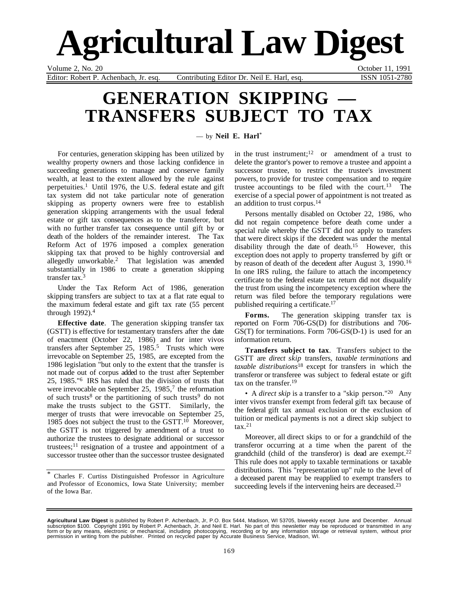# **Agricultural Law Digest**

Volume 2, No. 20 October 11, 1991

Editor: Robert P. Achenbach, Jr. esq. Contributing Editor Dr. Neil E. Harl, esq. ISSN 1051-2780

# **GENERATION SKIPPING TRANSFERS SUBJECT TO TAX**

— by **Neil E. Harl**\*

For centuries, generation skipping has been utilized by wealthy property owners and those lacking confidence in succeeding generations to manage and conserve family wealth, at least to the extent allowed by the rule against perpetuities.<sup>1</sup> Until 1976, the U.S. federal estate and gift tax system did not take particular note of generation skipping as property owners were free to establish generation skipping arrangements with the usual federal estate or gift tax consequences as to the transferor, but with no further transfer tax consequence until gift by or death of the holders of the remainder interest. The Tax Reform Act of 1976 imposed a complex generation skipping tax that proved to be highly controversial and allegedly unworkable.2 That legislation was amended substantially in 1986 to create a generation skipping transfer tax.3

Under the Tax Reform Act of 1986, generation skipping transfers are subject to tax at a flat rate equal to the maximum federal estate and gift tax rate (55 percent through 1992).4

**Effective date**. The generation skipping transfer tax (GSTT) is effective for testamentary transfers after the date of enactment (October 22, 1986) and for inter vivos transfers after September 25, 1985.<sup>5</sup> Trusts which were irrevocable on September 25, 1985, are excepted from the 1986 legislation "but only to the extent that the transfer is not made out of corpus added to the trust after September 25, 1985."6 IRS has ruled that the division of trusts that were irrevocable on September 25,  $1985<sup>7</sup>$  the reformation of such trusts<sup>8</sup> or the partitioning of such trusts<sup>9</sup> do not make the trusts subject to the GSTT. Similarly, the merger of trusts that were irrevocable on September 25, 1985 does not subject the trust to the GSTT. $10$  Moreover, the GSTT is not triggered by amendment of a trust to authorize the trustees to designate additional or successor trustees;<sup>11</sup> resignation of a trustee and appointment of a successor trustee other than the successor trustee designated

\* Charles F. Curtiss Distinguished Professor in Agriculture and Professor of Economics, Iowa State University; member of the Iowa Bar.

in the trust instrument;<sup>12</sup> or amendment of a trust to delete the grantor's power to remove a trustee and appoint a successor trustee, to restrict the trustee's investment powers, to provide for trustee compensation and to require trustee accountings to be filed with the court.<sup>13</sup> The exercise of a special power of appointment is not treated as an addition to trust corpus.14

Persons mentally disabled on October 22, 1986, who did not regain competence before death come under a special rule whereby the GSTT did not apply to transfers that were direct skips if the decedent was under the mental disability through the date of death.15 However, this exception does not apply to property transferred by gift or by reason of death of the decedent after August 3, 1990.16 In one IRS ruling, the failure to attach the incompetency certificate to the federal estate tax return did not disqualify the trust from using the incompetency exception where the return was filed before the temporary regulations were published requiring a certificate.17

**Forms.** The generation skipping transfer tax is reported on Form 706-GS(D) for distributions and 706- GS(T) for terminations. Form 706-GS(D-1) is used for an information return.

**Transfers subject to tax**. Transfers subject to the GSTT are *direct skip* transfers, *taxable terminations* and *taxable distributions*18 except for transfers in which the transferor or transferee was subject to federal estate or gift tax on the transfer.19

• A *direct skip* is a transfer to a "skip person."<sup>20</sup> Any inter vivos transfer exempt from federal gift tax because of the federal gift tax annual exclusion or the exclusion of tuition or medical payments is not a direct skip subject to  $\text{tax}.^{21}$ 

Moreover, all direct skips to or for a grandchild of the transferor occurring at a time when the parent of the grandchild (child of the transferor) is dead are exempt.22 This rule does not apply to taxable terminations or taxable distributions. This "representation up" rule to the level of a deceased parent may be reapplied to exempt transfers to succeeding levels if the intervening heirs are deceased.<sup>23</sup>

**Agricultural Law Digest** is published by Robert P. Achenbach, Jr, P.O. Box 5444, Madison, WI 53705, biweekly except June and December. Annual<br>subscription \$100. Copyright 1991 by Robert P. Achenbach, Jr. and Neil E. Har permission in writing from the publisher. Printed on recycled paper by Accurate Business Service, Madison, WI.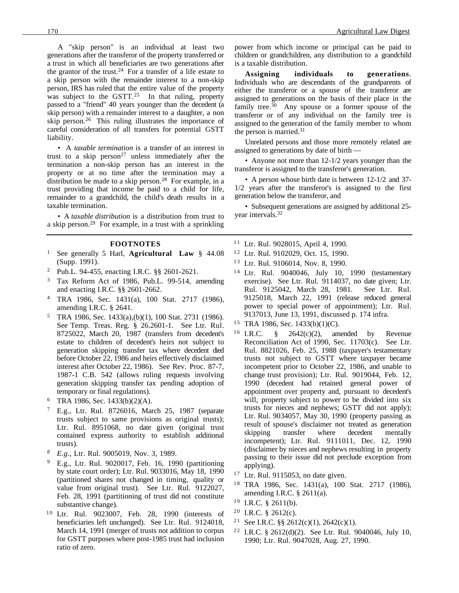A "skip person" is an individual at least two generations after the transferor of the property transferred or a trust in which all beneficiaries are two generations after the grantor of the trust.<sup>24</sup> For a transfer of a life estate to a skip person with the remainder interest to a non-skip person, IRS has ruled that the entire value of the property was subject to the GSTT.<sup>25</sup> In that ruling, property passed to a "friend" 40 years younger than the decedent (a skip person) with a remainder interest to a daughter, a non skip person.26 This ruling illustrates the importance of careful consideration of all transfers for potential GSTT liability.

• A *taxable termination* is a transfer of an interest in trust to a skip person<sup>27</sup> unless immediately after the termination a non-skip person has an interest in the property or at no time after the termination may a distribution be made to a skip person.<sup>28</sup> For example, in a trust providing that income be paid to a child for life, remainder to a grandchild, the child's death results in a taxable termination.

• A *taxable distribution* is a distribution from trust to a skip person.29 For example, in a trust with a sprinkling

#### **FOOTNOTES**

- <sup>1</sup> See generally 5 Harl, **Agricultural Law** § 44.08 (Supp. 1991).
- <sup>2</sup> Pub.L. 94-455, enacting I.R.C. §§ 2601-2621.
- <sup>3</sup> Tax Reform Act of 1986, Pub.L. 99-514, amending and enacting I.R.C. §§ 2601-2662.
- <sup>4</sup> TRA 1986, Sec. 1431(a), 100 Stat. 2717 (1986), amending I.R.C. § 2641.
- <sup>5</sup> TRA 1986, Sec. 1433(a),(b)(1), 100 Stat. 2731 (1986). See Temp. Treas. Reg. § 26.2601-1. See Ltr. Rul. 8725022, March 20, 1987 (transfers from decedent's estate to children of decedent's heirs not subject to generation skipping transfer tax where decedent died before October 22, 1986 and heirs effectively disclaimed interest after October 22, 1986). See Rev. Proc. 87-7, 1987-1 C.B. 542 (allows ruling requests involving generation skipping transfer tax pending adoption of temporary or final regulations).
- <sup>6</sup> TRA 1986, Sec. 1433(b)(2)(A).
- <sup>7</sup> E.g., Ltr. Rul. 8726016, March 25, 1987 (separate trusts subject to same provisions as original trusts); Ltr. Rul. 8951068, no date given (original trust contained express authority to establish additional trusts).
- <sup>8</sup> *E.g*., Ltr. Rul. 9005019, Nov. 3, 1989.
- <sup>9</sup> E.g., Ltr. Rul. 9020017, Feb. 16, 1990 (partitioning by state court order); Ltr. Rul. 9033016, May 18, 1990 (partitioned shares not changed in timing, quality or value from original trust). See Ltr. Rul. 9122027, Feb. 28, 1991 (partitioning of trust did not constitute substantive change).
- <sup>10</sup> Ltr. Rul. 9023007, Feb. 28, 1990 (interests of beneficiaries left unchanged). See Ltr. Rul. 9124018, March 14, 1991 (merger of trusts not addition to corpus for GSTT purposes where post-1985 trust had inclusion ratio of zero.

power from which income or principal can be paid to children or grandchildren, any distribution to a grandchild is a taxable distribution.

**Assigning individuals to generations**. Individuals who are descendants of the grandparents of either the transferor or a spouse of the transferor are assigned to generations on the basis of their place in the family tree.<sup>30</sup> Any spouse or a former spouse of the transferor or of any individual on the family tree is assigned to the generation of the family member to whom the person is married.<sup>31</sup>

Unrelated persons and those more remotely related are assigned to generations by date of birth —

• Anyone not more than 12-1/2 years younger than the transferor is assigned to the transferor's generation.

• A person whose birth date is between 12-1/2 and 37- 1/2 years after the transferor's is assigned to the first generation below the transferor, and

• Subsequent generations are assigned by additional 25 year intervals.32

<sup>11</sup> Ltr. Rul. 9028015, April 4, 1990.

- <sup>12</sup> Ltr. Rul. 9102029, Oct. 15, 1990.
- <sup>13</sup> Ltr. Rul. 9106014, Nov. 8, 1990.
- <sup>14</sup> Ltr. Rul. 9040046, July 10, 1990 (testamentary exercise). See Ltr. Rul. 9114037, no date given; Ltr. Rul. 9125042, March 28, 1981. See Ltr. Rul. 9125018, March 22, 1991 (release reduced general power to special power of appointment); Ltr. Rul. 9137013, June 13, 1991, discussed p. 174 infra.
- <sup>15</sup> TRA 1986, Sec. 1433(b)(1)(C).
- <sup>16</sup> I.R.C.  $\frac{8}{9}$  2642(c)(2), amended by Revenue Reconciliation Act of 1990, Sec. 11703(c). See Ltr. Rul. 8821026, Feb. 25, 1988 (taxpayer's testamentary trusts not subject to GSTT where taxpayer became incompetent prior to October 22, 1986, and unable to change trust provision); Ltr. Rul. 9019044, Feb. 12, 1990 (decedent had retained general power of appointment over property and, pursuant to decedent's will, property subject to power to be divided into six trusts for nieces and nephews; GSTT did not apply); Ltr. Rul. 9034057, May 30, 1990 (property passing as result of spouse's disclaimer not treated as generation skipping transfer where decedent mentally incompetent); Ltr. Rul. 9111011, Dec. 12, 1990 (disclaimer by nieces and nephews resulting in property passing to their issue did not preclude exception from applying).
- $17$  Ltr. Rul. 9115053, no date given.
- <sup>18</sup> TRA 1986, Sec. 1431(a), 100 Stat. 2717 (1986), amending I.R.C. § 2611(a).
- $19$  I.R.C. § 2611(b).
- $20$  I.R.C. § 2612(c).
- <sup>21</sup> See I.R.C. §§ 2612(c)(1), 2642(c)(1).
- <sup>22</sup> I.R.C. § 2612(d)(2). See Ltr. Rul. 9040046, July 10, 1990; Ltr. Rul. 9047028, Aug. 27, 1990.